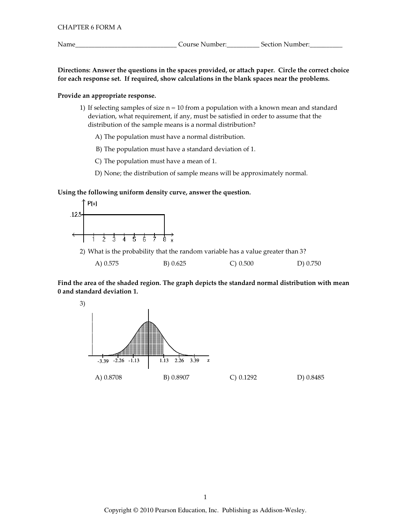Name\_

Directions: Answer the questions in the spaces provided, or attach paper. Circle the correct choice for each response set. If required, show calculations in the blank spaces near the problems.

# Provide an appropriate response.

1) If selecting samples of size  $n = 10$  from a population with a known mean and standard deviation, what requirement, if any, must be satisfied in order to assume that the distribution of the sample means is a normal distribution?

A) The population must have a normal distribution.

B) The population must have a standard deviation of 1.

C) The population must have a mean of 1.

D) None; the distribution of sample means will be approximately normal.

## Using the following uniform density curve, answer the question.



2) What is the probability that the random variable has a value greater than 3?

| A) 0.575 | B) 0.625 | C) 0.500 | D) 0.750 |
|----------|----------|----------|----------|
|          |          |          |          |

Find the area of the shaded region. The graph depicts the standard normal distribution with mean 0 and standard deviation 1.

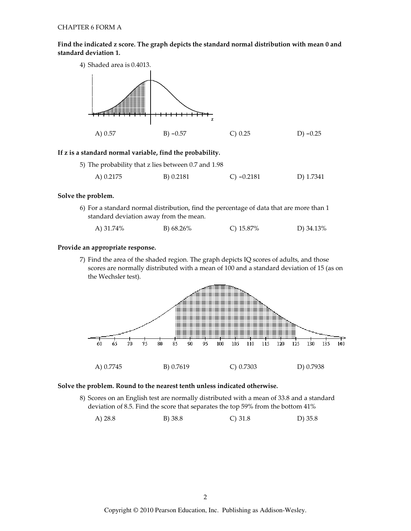# Find the indicated z score. The graph depicts the standard normal distribution with mean 0 and standard deviation 1.



## If z is a standard normal variable, find the probability.

| 5) The probability that z lies between 0.7 and 1.98 |           |              |           |
|-----------------------------------------------------|-----------|--------------|-----------|
| A) 0.2175                                           | B) 0.2181 | C) $-0.2181$ | D) 1.7341 |

## Solve the problem.

6) For a standard normal distribution, find the percentage of data that are more than 1 standard deviation away from the mean.

| A) 31.74% | B) 68.26% | C) $15.87\%$ | D) 34.13% |
|-----------|-----------|--------------|-----------|
|-----------|-----------|--------------|-----------|

## Provide an appropriate response.

7) Find the area of the shaded region. The graph depicts IQ scores of adults, and those scores are normally distributed with a mean of 100 and a standard deviation of 15 (as on the Wechsler test).



#### Solve the problem. Round to the nearest tenth unless indicated otherwise.

8) Scores on an English test are normally distributed with a mean of 33.8 and a standard deviation of 8.5. Find the score that separates the top 59% from the bottom 41%

 $C) 31.8$ A)  $28.8$ B) 38.8  $D)$  35.8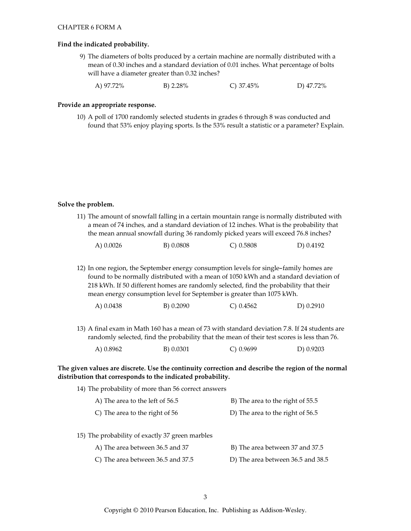#### Find the indicated probability.

- 9) The diameters of bolts produced by a certain machine are normally distributed with a mean of 0.30 inches and a standard deviation of 0.01 inches. What percentage of bolts will have a diameter greater than 0.32 inches?
	- B) 2.28% A) 97.72% C)  $37.45\%$ D) 47.72%

#### Provide an appropriate response.

10) A poll of 1700 randomly selected students in grades 6 through 8 was conducted and found that 53% enjoy playing sports. Is the 53% result a statistic or a parameter? Explain.

#### Solve the problem.

| 11) The amount of snowfall falling in a certain mountain range is normally distributed with |
|---------------------------------------------------------------------------------------------|
| a mean of 74 inches, and a standard deviation of 12 inches. What is the probability that    |
| the mean annual snowfall during 36 randomly picked years will exceed 76.8 inches?           |

| A) $0.0026$ | B) 0.0808 | $C$ ) 0.5808 | D) 0.4192 |
|-------------|-----------|--------------|-----------|
|             |           |              |           |

12) In one region, the September energy consumption levels for single-family homes are found to be normally distributed with a mean of 1050 kWh and a standard deviation of 218 kWh. If 50 different homes are randomly selected, find the probability that their mean energy consumption level for September is greater than 1075 kWh.

| A) 0.0438 | B) 0.2090 | C) 0.4562 | D) 0.2910 |
|-----------|-----------|-----------|-----------|
|-----------|-----------|-----------|-----------|

13) A final exam in Math 160 has a mean of 73 with standard deviation 7.8. If 24 students are randomly selected, find the probability that the mean of their test scores is less than 76.

| A) $0.8962$ | B) 0.0301 | $C$ ) 0.9699 | D) 0.9203 |
|-------------|-----------|--------------|-----------|
|             |           |              |           |

# The given values are discrete. Use the continuity correction and describe the region of the normal distribution that corresponds to the indicated probability.

| 14) The probability of more than 56 correct answers |                                   |
|-----------------------------------------------------|-----------------------------------|
| A) The area to the left of 56.5                     | B) The area to the right of 55.5  |
| C) The area to the right of 56                      | D) The area to the right of 56.5  |
|                                                     |                                   |
| 15) The probability of exactly 37 green marbles     |                                   |
| A) The area between 36.5 and 37                     | B) The area between 37 and 37.5   |
| C) The area between 36.5 and 37.5                   | D) The area between 36.5 and 38.5 |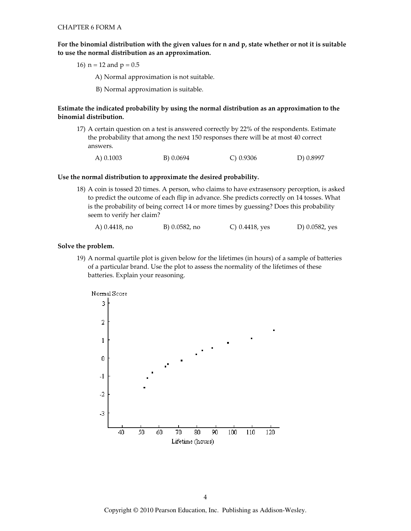For the binomial distribution with the given values for n and p, state whether or not it is suitable to use the normal distribution as an approximation.

16)  $n = 12$  and  $p = 0.5$ 

A) Normal approximation is not suitable.

B) Normal approximation is suitable.

## Estimate the indicated probability by using the normal distribution as an approximation to the binomial distribution.

17) A certain question on a test is answered correctly by 22% of the respondents. Estimate the probability that among the next 150 responses there will be at most 40 correct answers.

A) 0.1003 B) 0.0694 C) 0.9306 D) 0.8997

#### Use the normal distribution to approximate the desired probability.

18) A coin is tossed 20 times. A person, who claims to have extrasensory perception, is asked to predict the outcome of each flip in advance. She predicts correctly on 14 tosses. What is the probability of being correct 14 or more times by guessing? Does this probability seem to verify her claim?

| A) 0.4418, no | B) 0.0582, no | C) $0.4418$ , yes | D) 0.0582, yes |
|---------------|---------------|-------------------|----------------|
|---------------|---------------|-------------------|----------------|

#### Solve the problem.

19) A normal quartile plot is given below for the lifetimes (in hours) of a sample of batteries of a particular brand. Use the plot to assess the normality of the lifetimes of these batteries. Explain your reasoning.

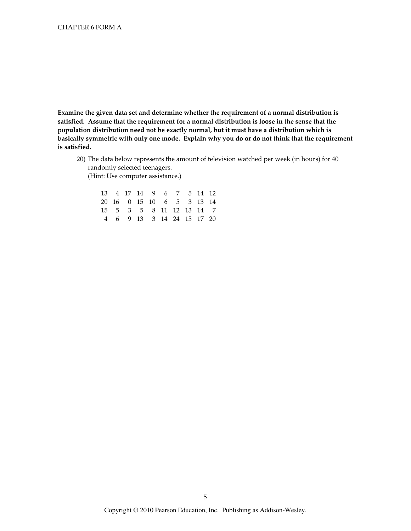Examine the given data set and determine whether the requirement of a normal distribution is satisfied. Assume that the requirement for a normal distribution is loose in the sense that the population distribution need not be exactly normal, but it must have a distribution which is basically symmetric with only one mode. Explain why you do or do not think that the requirement is satisfied.

20) The data below represents the amount of television watched per week (in hours) for 40 randomly selected teenagers. (Hint: Use computer assistance.)

|  |  | 13 4 17 14 9 6 7 5 14 12  |  |  |
|--|--|---------------------------|--|--|
|  |  | 20 16 0 15 10 6 5 3 13 14 |  |  |
|  |  | 15 5 3 5 8 11 12 13 14 7  |  |  |
|  |  | 4 6 9 13 3 14 24 15 17 20 |  |  |